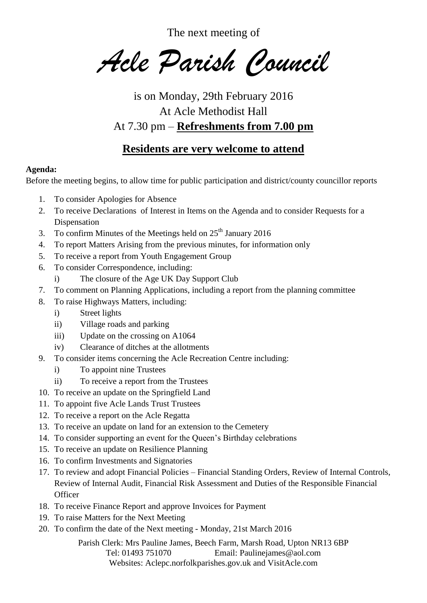The next meeting of

*Acle Parish Council*

is on Monday, 29th February 2016 At Acle Methodist Hall At 7.30 pm – **Refreshments from 7.00 pm**

## **Residents are very welcome to attend**

## **Agenda:**

Before the meeting begins, to allow time for public participation and district/county councillor reports

- 1. To consider Apologies for Absence
- 2. To receive Declarations of Interest in Items on the Agenda and to consider Requests for a Dispensation
- 3. To confirm Minutes of the Meetings held on  $25<sup>th</sup>$  January 2016
- 4. To report Matters Arising from the previous minutes, for information only
- 5. To receive a report from Youth Engagement Group
- 6. To consider Correspondence, including:
	- i) The closure of the Age UK Day Support Club
- 7. To comment on Planning Applications, including a report from the planning committee
- 8. To raise Highways Matters, including:
	- i) Street lights
	- ii) Village roads and parking
	- iii) Update on the crossing on A1064
	- iv) Clearance of ditches at the allotments
- 9. To consider items concerning the Acle Recreation Centre including:
	- i) To appoint nine Trustees
	- ii) To receive a report from the Trustees
- 10. To receive an update on the Springfield Land
- 11. To appoint five Acle Lands Trust Trustees
- 12. To receive a report on the Acle Regatta
- 13. To receive an update on land for an extension to the Cemetery
- 14. To consider supporting an event for the Queen's Birthday celebrations
- 15. To receive an update on Resilience Planning
- 16. To confirm Investments and Signatories
- 17. To review and adopt Financial Policies Financial Standing Orders, Review of Internal Controls, Review of Internal Audit, Financial Risk Assessment and Duties of the Responsible Financial **Officer**
- 18. To receive Finance Report and approve Invoices for Payment
- 19. To raise Matters for the Next Meeting
- 20. To confirm the date of the Next meeting Monday, 21st March 2016

Parish Clerk: Mrs Pauline James, Beech Farm, Marsh Road, Upton NR13 6BP Tel: 01493 751070 Email: Paulinejames@aol.com Websites: Aclepc.norfolkparishes.gov.uk and VisitAcle.com